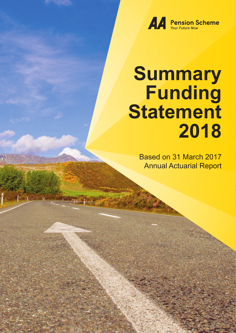

# **Summary Funding Statement 2018**

Based on 31 March 2017 Annual Actuarial Report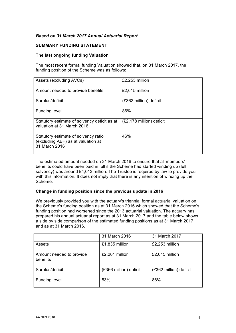# *Based on 31 March 2017 Annual Actuarial Report*

## **SUMMARY FUNDING STATEMENT**

## **The last ongoing funding Valuation**

The most recent formal funding Valuation showed that, on 31 March 2017, the funding position of the Scheme was as follows:

| Assets (excluding AVCs)                                                                     | £2,253 million           |
|---------------------------------------------------------------------------------------------|--------------------------|
| Amount needed to provide benefits                                                           | £2,615 million           |
| Surplus/deficit                                                                             | (£362 million) deficit   |
| <b>Funding level</b>                                                                        | 86%                      |
| Statutory estimate of solvency deficit as at<br>valuation at 31 March 2016                  | (£2,178 million) deficit |
| Statutory estimate of solvency ratio<br>(excluding ABF) as at valuation at<br>31 March 2016 | 46%                      |

The estimated amount needed on 31 March 2016 to ensure that all members' benefits could have been paid in full if the Scheme had started winding up (full solvency) was around £4,013 million. The Trustee is required by law to provide you with this information. It does not imply that there is any intention of winding up the Scheme.

#### **Change in funding position since the previous update in 2016**

We previously provided you with the actuary's triennial formal actuarial valuation on the Scheme's funding position as at 31 March 2016 which showed that the Scheme's funding position had worsened since the 2013 actuarial valuation. The actuary has prepared his annual actuarial report as at 31 March 2017 and the table below shows a side by side comparison of the estimated funding positions as at 31 March 2017 and as at 31 March 2016.

|                                      | 31 March 2016          | 31 March 2017          |
|--------------------------------------|------------------------|------------------------|
| <b>Assets</b>                        | £1,835 million         | £2,253 million         |
| Amount needed to provide<br>benefits | £2,201 million         | £2,615 million         |
| Surplus/deficit                      | (£366 million) deficit | (£362 million) deficit |
| <b>Funding level</b>                 | 83%                    | 86%                    |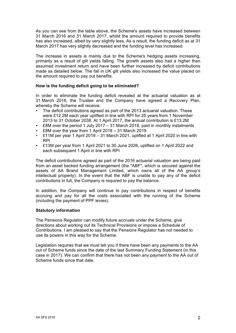As you can see from the table above, the Scheme's assets have increased between 31 March 2016 and 31 March 2017, whilst the amount required to provide benefits has also increased, albeit by very slightly less. As a result, the funding deficit as at 31 March 2017 has very slightly decreased and the funding level has increased.

The increase in assets is mainly due to the Scheme's hedging assets increasing, primarily as a result of gilt yields falling. The growth assets also had a higher than assumed investment return and have been further increased by deficit contributions made as detailed below. The fall in UK gilt yields also increased the value placed on the amount required to pay out benefits.

# **How is the funding deficit going to be eliminated?**

In order to eliminate the funding deficit revealed at the actuarial valuation as at 31 March 2016, the Trustee and the Company have agreed a Recovery Plan, whereby the Scheme will receive:

- The deficit contributions agreed as part of the 2013 actuarial valuation. These were £12.2M each year uplifted in line with RPI for 25 years from 1 November 2013 to 31 October 2038. At 1 April 2017, the annual contribution is £13.2M
- £8M over the period 1 July 2017 31 March 2018, paid in monthly instalments<br>•  $\frac{1}{2}$  F8M over the vear from 1 April 2018 31 March 2019
- £8M over the year from 1 April 2018 31 March 2019
- £11M per year 1 April 2019 31 March 2021, uplifted at 1 April 2020 in line with RPI
- £13M per year from 1 April 2021 to 30 June 2026, uplifted on 1 April 2022 and each subsequent 1 April in line with RPI

The deficit contributions agreed as part of the 2016 actuarial valuation are being paid from an asset backed funding arrangement (the "ABF", which is secured against the assets of AA Brand Management Limited, which owns all of the AA group's intellectual property). In the event that the ABF is unable to pay any of the deficit contributions in full, the Company is required to pay the balance.

In addition, the Company will continue to pay contributions in respect of benefits accruing and pay for all the costs associated with the running of the Scheme (including the payment of PPF levies).

#### **Statutory information**

The Pensions Regulator can modify future accruals under the Scheme, give directions about working out its Technical Provisions or impose a Schedule of Contributions. I am pleased to say that the Pensions Regulator has not needed to use its powers in this way for the Scheme.

Legislation requires that we must tell you if there have been any payments to the AA out of Scheme funds since the date of the last Summary Funding Statement (in this case in 2017). We can confirm that there has not been any payment to the AA out of Scheme funds since that date.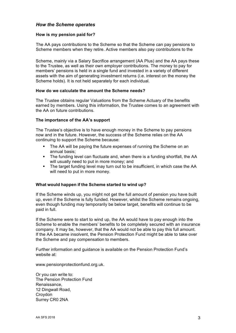# *How the Scheme operates*

## **How is my pension paid for?**

The AA pays contributions to the Scheme so that the Scheme can pay pensions to Scheme members when they retire. Active members also pay contributions to the

Scheme, mainly via a Salary Sacrifice arrangement (AA Plus) and the AA pays these to the Trustee, as well as their own employer contributions. The money to pay for members' pensions is held in a single fund and invested in a variety of different assets with the aim of generating investment returns (i.e. interest on the money the Scheme holds). It is not held separately for each individual.

#### **How do we calculate the amount the Scheme needs?**

The Trustee obtains regular Valuations from the Scheme Actuary of the benefits earned by members. Using this information, the Trustee comes to an agreement with the AA on future contributions.

## **The importance of the AA's support**

The Trustee's objective is to have enough money in the Scheme to pay pensions now and in the future. However, the success of the Scheme relies on the AA continuing to support the Scheme because:

- The AA will be paying the future expenses of running the Scheme on an annual basis;
- ! The funding level can fluctuate and, when there is a funding shortfall, the AA will usually need to put in more money; and
- ! The target funding level may turn out to be insufficient, in which case the AA will need to put in more money.

# **What would happen if the Scheme started to wind up?**

If the Scheme winds up, you might not get the full amount of pension you have built up, even if the Scheme is fully funded. However, whilst the Scheme remains ongoing, even though funding may temporarily be below target, benefits will continue to be paid in full.

If the Scheme were to start to wind up, the AA would have to pay enough into the Scheme to enable the members' benefits to be completely secured with an insurance company. It may be, however, that the AA would not be able to pay this full amount. If the AA became insolvent, the Pension Protection Fund might be able to take over the Scheme and pay compensation to members.

Further information and guidance is available on the Pension Protection Fund's website at:

www.pensionprotectionfund.org.uk.

Or you can write to: The Pension Protection Fund Renaissance, 12 Dingwall Road, Croydon Surrey CR0 2NA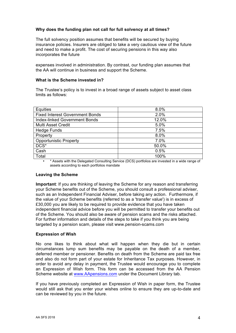# **Why does the funding plan not call for full solvency at all times?**

The full solvency position assumes that benefits will be secured by buying insurance policies. Insurers are obliged to take a very cautious view of the future and need to make a profit. The cost of securing pensions in this way also incorporates the future

expenses involved in administration. By contrast, our funding plan assumes that the AA will continue in business and support the Scheme.

## **What is the Scheme invested in?**

The Trustee's policy is to invest in a broad range of assets subject to asset class limits as follows:

| <b>Equities</b>                        | 8.0%  |
|----------------------------------------|-------|
| <b>Fixed Interest Government Bonds</b> | 2.0%  |
| Index-linked Government Bonds          | 12.0% |
| Multi Asset Credit                     | 5.0%  |
| <b>Hedge Funds</b>                     | 7.5%  |
| Property                               | 8.0%  |
| <b>Opportunistic Property</b>          | 7.0%  |
| DCS*                                   | 50.0% |
| Cash                                   | 0.5%  |
| Total                                  | 100%  |

• \* Assets with the Delegated Consulting Service (DCS) portfolios are invested in a wide range of assets according to each portfolios mandate

#### **Leaving the Scheme**

**Important**: If you are thinking of leaving the Scheme for any reason and transferring your Scheme benefits out of the Scheme, you should consult a professional adviser, such as an Independent Financial Adviser, before taking any action. Furthermore, if the value of your Scheme benefits (referred to as a 'transfer value') is in excess of £30,000 you are likely to be required to provide evidence that you have taken independent financial advice before you will be permitted to transfer your benefits out of the Scheme. You should also be aware of pension scams and the risks attached. For further information and details of the steps to take if you think you are being targeted by a pension scam, please visit www.pension-scams.com

#### **Expression of Wish**

No one likes to think about what will happen when they die but in certain circumstances lump sum benefits may be payable on the death of a member, deferred member or pensioner. Benefits on death from the Scheme are paid tax free and also do not form part of your estate for Inheritance Tax purposes. However, in order to avoid any delay in payment, the Trustee would encourage you to complete an Expression of Wish form. This form can be accessed from the AA Pension Scheme website at www.AApensions.com under the Document Library tab.

If you have previously completed an Expression of Wish in paper form, the Trustee would still ask that you enter your wishes online to ensure they are up-to-date and can be reviewed by you in the future.